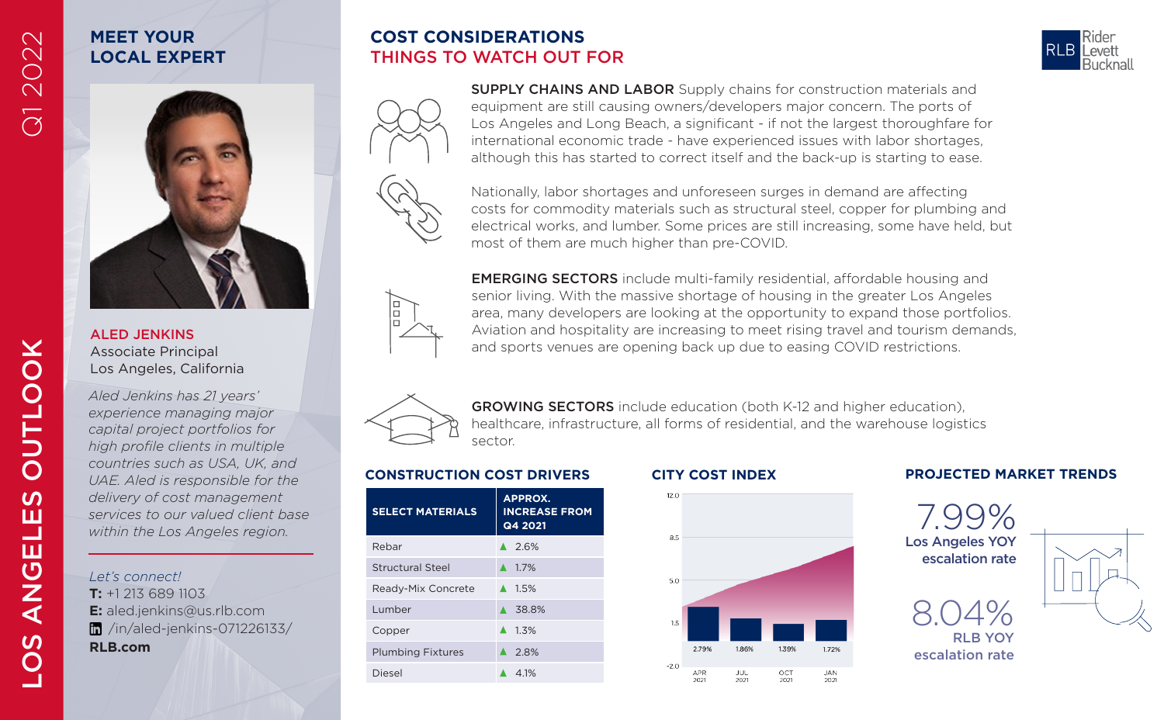# Q1 2022

## **MEET YOUR LOCAL EXPERT**

ALED JENKINS Associate Principal Los Angeles, California *Aled Jenkins has 21 years' experience managing major capital project portfolios for high profile clients in multiple countries such as USA, UK, and UAE. Aled is responsible for the delivery of cost management services to our valued client base within the Los Angeles region.*

*Let's connect!* **T:** +1 213 689 1103

**RLB.com**

**E:** aled.jenkins@us.rlb.com /in/aled-jenkins-071226133/



GROWING SECTORS include education (both K-12 and higher education),

**COST CONSIDERATIONS** THINGS TO WATCH OUT FOR

| <b>SELECT MATERIALS</b>  | <b>APPROX.</b><br><b>INCREASE FROM</b><br>Q4 2021 |
|--------------------------|---------------------------------------------------|
| Rebar                    | $\triangle$ 26%                                   |
| <b>Structural Steel</b>  | $\triangle$ 17%                                   |
| Ready-Mix Concrete       | $\triangle$ 1.5%                                  |
| Lumber                   | ▲ 38.8%                                           |
| Copper                   | $\triangle$ 1.3%                                  |
| <b>Plumbing Fixtures</b> | $\triangle$ 2.8%                                  |
| Diesel                   | 4 1%                                              |



## **CONSTRUCTION COST DRIVERS CITY COST INDEX PROJECTED MARKET TRENDS**





costs for commodity materials such as structural steel, copper for plumbing and electrical works, and lumber. Some prices are still increasing, some have held, but most of them are much higher than pre-COVID. le

EMERGING SECTORS include multi-family residential, affordable housing and senior living. With the massive shortage of housing in the greater Los Angeles area, many developers are looking at the opportunity to expand those portfolios. Aviation and hospitality are increasing to meet rising travel and tourism demands, and sports venues are opening back up due to easing COVID restrictions.

SUPPLY CHAINS AND LABOR Supply chains for construction materials and equipment are still causing owners/developers major concern. The ports of Los Angeles and Long Beach, a significant - if not the largest thoroughfare for international economic trade - have experienced issues with labor shortages, although this has started to correct itself and the back-up is starting to ease.



healthcare, infrastructure, all forms of residential, and the warehouse logistics sector.

Nationally, labor shortages and unforeseen surges in demand are affecting